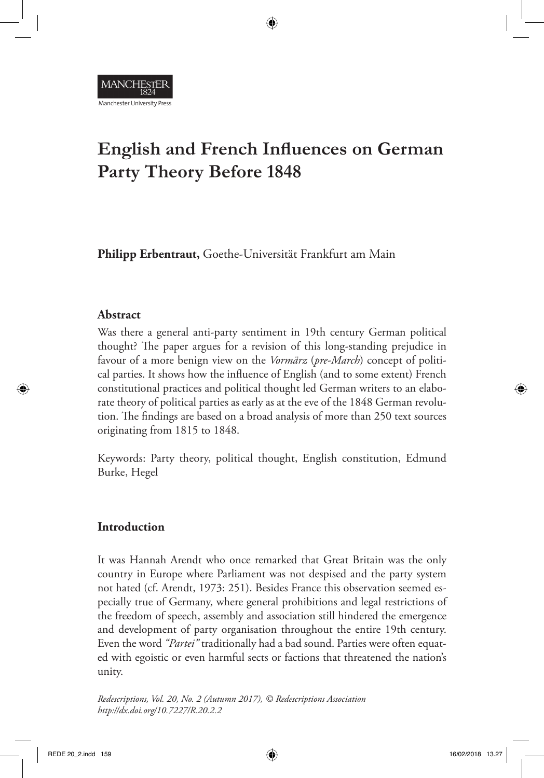

# **English and French Influences on German Party Theory Before 1848**

**Philipp Erbentraut,** Goethe-Universität Frankfurt am Main

## **Abstract**

Was there a general anti-party sentiment in 19th century German political thought? The paper argues for a revision of this long-standing prejudice in favour of a more benign view on the *Vormärz* (*pre-March*) concept of political parties. It shows how the influence of English (and to some extent) French constitutional practices and political thought led German writers to an elaborate theory of political parties as early as at the eve of the 1848 German revolution. The findings are based on a broad analysis of more than 250 text sources originating from 1815 to 1848.

Keywords: Party theory, political thought, English constitution, Edmund Burke, Hegel

## **Introduction**

It was Hannah Arendt who once remarked that Great Britain was the only country in Europe where Parliament was not despised and the party system not hated (cf. Arendt, 1973: 251). Besides France this observation seemed especially true of Germany, where general prohibitions and legal restrictions of the freedom of speech, assembly and association still hindered the emergence and development of party organisation throughout the entire 19th century. Even the word *"Partei"* traditionally had a bad sound. Parties were often equated with egoistic or even harmful sects or factions that threatened the nation's unity.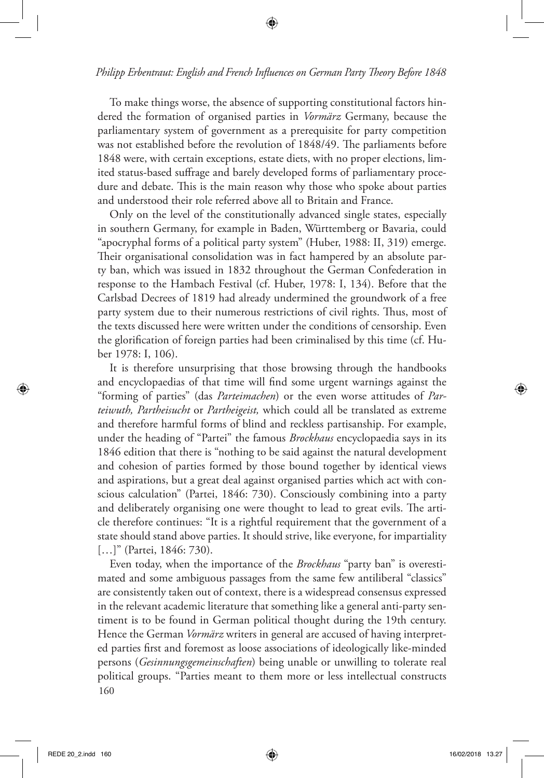To make things worse, the absence of supporting constitutional factors hindered the formation of organised parties in *Vormärz* Germany, because the parliamentary system of government as a prerequisite for party competition was not established before the revolution of 1848/49. The parliaments before 1848 were, with certain exceptions, estate diets, with no proper elections, limited status-based suffrage and barely developed forms of parliamentary procedure and debate. This is the main reason why those who spoke about parties and understood their role referred above all to Britain and France.

Only on the level of the constitutionally advanced single states, especially in southern Germany, for example in Baden, Württemberg or Bavaria, could "apocryphal forms of a political party system" (Huber, 1988: II, 319) emerge. Their organisational consolidation was in fact hampered by an absolute party ban, which was issued in 1832 throughout the German Confederation in response to the Hambach Festival (cf. Huber, 1978: I, 134). Before that the Carlsbad Decrees of 1819 had already undermined the groundwork of a free party system due to their numerous restrictions of civil rights. Thus, most of the texts discussed here were written under the conditions of censorship. Even the glorification of foreign parties had been criminalised by this time (cf. Huber 1978: I, 106).

It is therefore unsurprising that those browsing through the handbooks and encyclopaedias of that time will find some urgent warnings against the "forming of parties" (das *Parteimachen*) or the even worse attitudes of *Parteiwuth, Partheisucht* or *Partheigeist,* which could all be translated as extreme and therefore harmful forms of blind and reckless partisanship. For example, under the heading of "Partei" the famous *Brockhaus* encyclopaedia says in its 1846 edition that there is "nothing to be said against the natural development and cohesion of parties formed by those bound together by identical views and aspirations, but a great deal against organised parties which act with conscious calculation" (Partei, 1846: 730). Consciously combining into a party and deliberately organising one were thought to lead to great evils. The article therefore continues: "It is a rightful requirement that the government of a state should stand above parties. It should strive, like everyone, for impartiality [...]" (Partei, 1846: 730).

160 Even today, when the importance of the *Brockhaus* "party ban" is overestimated and some ambiguous passages from the same few antiliberal "classics" are consistently taken out of context, there is a widespread consensus expressed in the relevant academic literature that something like a general anti-party sentiment is to be found in German political thought during the 19th century. Hence the German *Vormärz* writers in general are accused of having interpreted parties first and foremost as loose associations of ideologically like-minded persons (*Gesinnungsgemeinschaften*) being unable or unwilling to tolerate real political groups. "Parties meant to them more or less intellectual constructs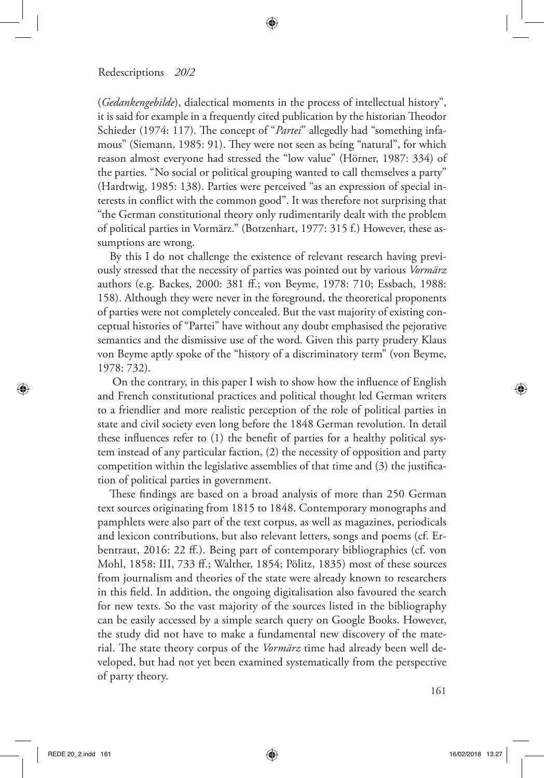(*Gedankengebilde*), dialectical moments in the process of intellectual history", it is said for example in a frequently cited publication by the historian Theodor Schieder (1974: 117). The concept of "*Partei*" allegedly had "something infamous" (Siemann, 1985: 91). They were not seen as being "natural", for which reason almost everyone had stressed the "low value" (Hörner, 1987: 334) of the parties. "No social or political grouping wanted to call themselves a party" (Hardtwig, 1985: 138). Parties were perceived "as an expression of special interests in conflict with the common good". It was therefore not surprising that "the German constitutional theory only rudimentarily dealt with the problem of political parties in Vormärz." (Botzenhart, 1977: 315 f.) However, these assumptions are wrong.

By this I do not challenge the existence of relevant research having previously stressed that the necessity of parties was pointed out by various *Vormärz*  authors (e.g. Backes, 2000: 381 ff.; von Beyme, 1978: 710; Essbach, 1988: 158). Although they were never in the foreground, the theoretical proponents of parties were not completely concealed. But the vast majority of existing conceptual histories of "Partei" have without any doubt emphasised the pejorative semantics and the dismissive use of the word. Given this party prudery Klaus von Beyme aptly spoke of the "history of a discriminatory term" (von Beyme, 1978: 732).

 On the contrary, in this paper I wish to show how the influence of English and French constitutional practices and political thought led German writers to a friendlier and more realistic perception of the role of political parties in state and civil society even long before the 1848 German revolution. In detail these influences refer to (1) the benefit of parties for a healthy political system instead of any particular faction, (2) the necessity of opposition and party competition within the legislative assemblies of that time and (3) the justification of political parties in government.

These findings are based on a broad analysis of more than 250 German text sources originating from 1815 to 1848. Contemporary monographs and pamphlets were also part of the text corpus, as well as magazines, periodicals and lexicon contributions, but also relevant letters, songs and poems (cf. Erbentraut, 2016: 22 ff.). Being part of contemporary bibliographies (cf. von Mohl, 1858: III, 733 ff.; Walther, 1854; Pölitz, 1835) most of these sources from journalism and theories of the state were already known to researchers in this field. In addition, the ongoing digitalisation also favoured the search for new texts. So the vast majority of the sources listed in the bibliography can be easily accessed by a simple search query on Google Books. However, the study did not have to make a fundamental new discovery of the material. The state theory corpus of the *Vormärz* time had already been well developed, but had not yet been examined systematically from the perspective of party theory.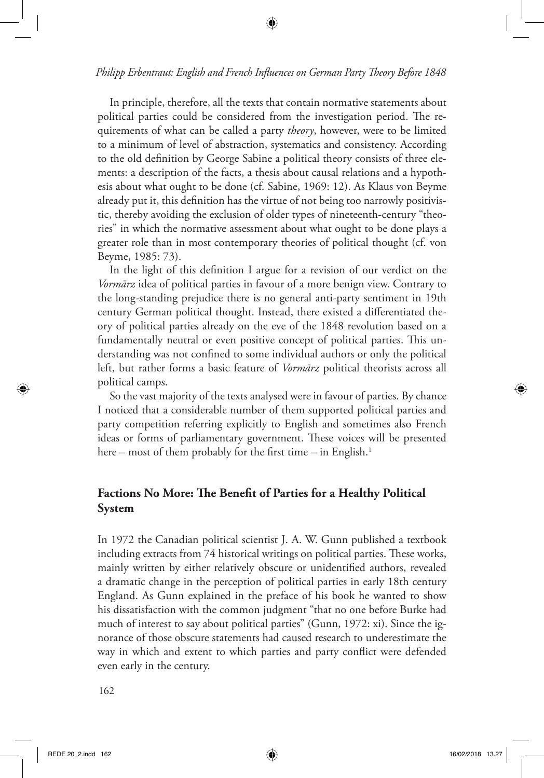In principle, therefore, all the texts that contain normative statements about political parties could be considered from the investigation period. The requirements of what can be called a party *theory*, however, were to be limited to a minimum of level of abstraction, systematics and consistency. According to the old definition by George Sabine a political theory consists of three elements: a description of the facts, a thesis about causal relations and a hypothesis about what ought to be done (cf. Sabine, 1969: 12). As Klaus von Beyme already put it, this definition has the virtue of not being too narrowly positivistic, thereby avoiding the exclusion of older types of nineteenth-century "theories" in which the normative assessment about what ought to be done plays a greater role than in most contemporary theories of political thought (cf. von Beyme, 1985: 73).

In the light of this definition I argue for a revision of our verdict on the *Vormärz* idea of political parties in favour of a more benign view. Contrary to the long-standing prejudice there is no general anti-party sentiment in 19th century German political thought. Instead, there existed a differentiated theory of political parties already on the eve of the 1848 revolution based on a fundamentally neutral or even positive concept of political parties. This understanding was not confined to some individual authors or only the political left, but rather forms a basic feature of *Vormärz* political theorists across all political camps.

So the vast majority of the texts analysed were in favour of parties. By chance I noticed that a considerable number of them supported political parties and party competition referring explicitly to English and sometimes also French ideas or forms of parliamentary government. These voices will be presented here – most of them probably for the first time – in English.<sup>1</sup>

# **Factions No More: The Benefit of Parties for a Healthy Political System**

In 1972 the Canadian political scientist J. A. W. Gunn published a textbook including extracts from 74 historical writings on political parties. These works, mainly written by either relatively obscure or unidentified authors, revealed a dramatic change in the perception of political parties in early 18th century England. As Gunn explained in the preface of his book he wanted to show his dissatisfaction with the common judgment "that no one before Burke had much of interest to say about political parties" (Gunn, 1972: xi). Since the ignorance of those obscure statements had caused research to underestimate the way in which and extent to which parties and party conflict were defended even early in the century.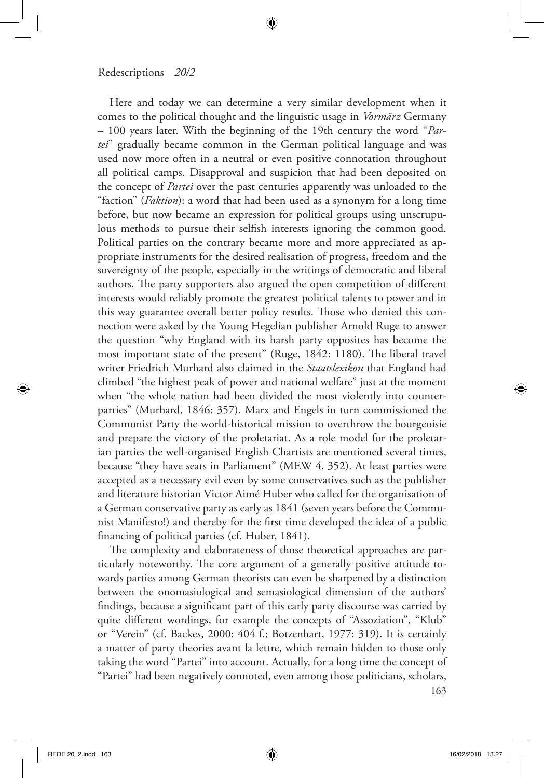Here and today we can determine a very similar development when it comes to the political thought and the linguistic usage in *Vormärz* Germany – 100 years later. With the beginning of the 19th century the word "*Partei*" gradually became common in the German political language and was used now more often in a neutral or even positive connotation throughout all political camps. Disapproval and suspicion that had been deposited on the concept of *Partei* over the past centuries apparently was unloaded to the "faction" (*Faktion*): a word that had been used as a synonym for a long time before, but now became an expression for political groups using unscrupulous methods to pursue their selfish interests ignoring the common good. Political parties on the contrary became more and more appreciated as appropriate instruments for the desired realisation of progress, freedom and the sovereignty of the people, especially in the writings of democratic and liberal authors. The party supporters also argued the open competition of different interests would reliably promote the greatest political talents to power and in this way guarantee overall better policy results. Those who denied this connection were asked by the Young Hegelian publisher Arnold Ruge to answer the question "why England with its harsh party opposites has become the most important state of the present" (Ruge, 1842: 1180). The liberal travel writer Friedrich Murhard also claimed in the *Staatslexikon* that England had climbed "the highest peak of power and national welfare" just at the moment when "the whole nation had been divided the most violently into counterparties" (Murhard, 1846: 357). Marx and Engels in turn commissioned the Communist Party the world-historical mission to overthrow the bourgeoisie and prepare the victory of the proletariat. As a role model for the proletarian parties the well-organised English Chartists are mentioned several times, because "they have seats in Parliament" (MEW 4, 352). At least parties were accepted as a necessary evil even by some conservatives such as the publisher and literature historian Victor Aimé Huber who called for the organisation of a German conservative party as early as 1841 (seven years before the Communist Manifesto!) and thereby for the first time developed the idea of a public financing of political parties (cf. Huber, 1841).

The complexity and elaborateness of those theoretical approaches are particularly noteworthy. The core argument of a generally positive attitude towards parties among German theorists can even be sharpened by a distinction between the onomasiological and semasiological dimension of the authors' findings, because a significant part of this early party discourse was carried by quite different wordings, for example the concepts of "Assoziation", "Klub" or "Verein" (cf. Backes, 2000: 404 f.; Botzenhart, 1977: 319). It is certainly a matter of party theories avant la lettre, which remain hidden to those only taking the word "Partei" into account. Actually, for a long time the concept of "Partei" had been negatively connoted, even among those politicians, scholars,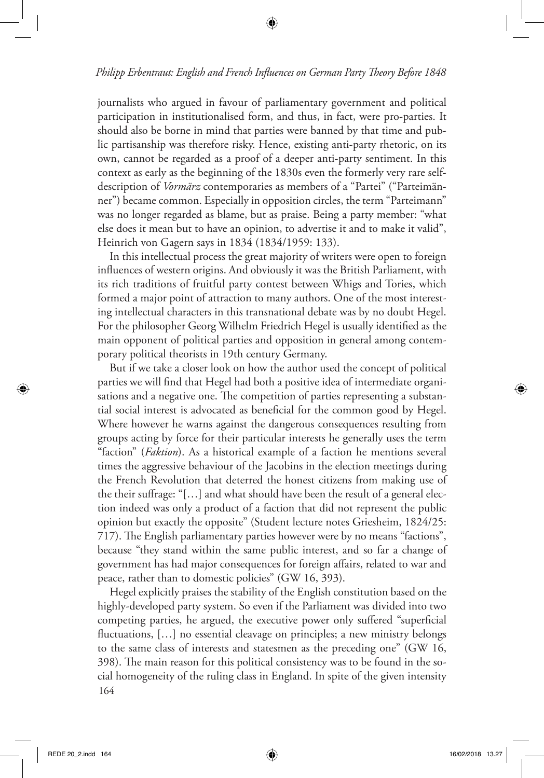journalists who argued in favour of parliamentary government and political participation in institutionalised form, and thus, in fact, were pro-parties. It should also be borne in mind that parties were banned by that time and public partisanship was therefore risky. Hence, existing anti-party rhetoric, on its own, cannot be regarded as a proof of a deeper anti-party sentiment. In this context as early as the beginning of the 1830s even the formerly very rare selfdescription of *Vormärz* contemporaries as members of a "Partei" ("Parteimänner") became common. Especially in opposition circles, the term "Parteimann" was no longer regarded as blame, but as praise. Being a party member: "what else does it mean but to have an opinion, to advertise it and to make it valid", Heinrich von Gagern says in 1834 (1834/1959: 133).

In this intellectual process the great majority of writers were open to foreign influences of western origins. And obviously it was the British Parliament, with its rich traditions of fruitful party contest between Whigs and Tories, which formed a major point of attraction to many authors. One of the most interesting intellectual characters in this transnational debate was by no doubt Hegel. For the philosopher Georg Wilhelm Friedrich Hegel is usually identified as the main opponent of political parties and opposition in general among contemporary political theorists in 19th century Germany.

But if we take a closer look on how the author used the concept of political parties we will find that Hegel had both a positive idea of intermediate organisations and a negative one. The competition of parties representing a substantial social interest is advocated as beneficial for the common good by Hegel. Where however he warns against the dangerous consequences resulting from groups acting by force for their particular interests he generally uses the term "faction" (*Faktion*). As a historical example of a faction he mentions several times the aggressive behaviour of the Jacobins in the election meetings during the French Revolution that deterred the honest citizens from making use of the their suffrage: "[…] and what should have been the result of a general election indeed was only a product of a faction that did not represent the public opinion but exactly the opposite" (Student lecture notes Griesheim, 1824/25: 717). The English parliamentary parties however were by no means "factions", because "they stand within the same public interest, and so far a change of government has had major consequences for foreign affairs, related to war and peace, rather than to domestic policies" (GW 16, 393).

164 Hegel explicitly praises the stability of the English constitution based on the highly-developed party system. So even if the Parliament was divided into two competing parties, he argued, the executive power only suffered "superficial fluctuations, […] no essential cleavage on principles; a new ministry belongs to the same class of interests and statesmen as the preceding one" (GW 16, 398). The main reason for this political consistency was to be found in the social homogeneity of the ruling class in England. In spite of the given intensity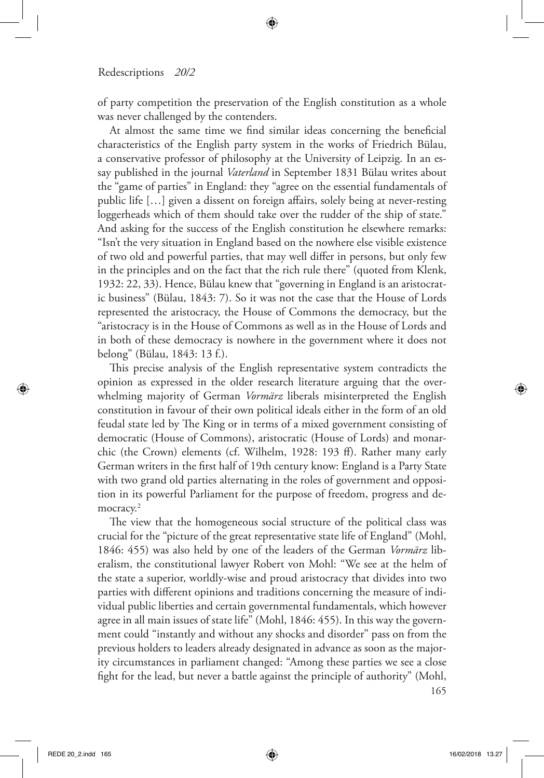of party competition the preservation of the English constitution as a whole was never challenged by the contenders.

At almost the same time we find similar ideas concerning the beneficial characteristics of the English party system in the works of Friedrich Bülau, a conservative professor of philosophy at the University of Leipzig. In an essay published in the journal *Vaterland* in September 1831 Bülau writes about the "game of parties" in England: they "agree on the essential fundamentals of public life […] given a dissent on foreign affairs, solely being at never-resting loggerheads which of them should take over the rudder of the ship of state." And asking for the success of the English constitution he elsewhere remarks: "Isn't the very situation in England based on the nowhere else visible existence of two old and powerful parties, that may well differ in persons, but only few in the principles and on the fact that the rich rule there" (quoted from Klenk, 1932: 22, 33). Hence, Bülau knew that "governing in England is an aristocratic business" (Bülau, 1843: 7). So it was not the case that the House of Lords represented the aristocracy, the House of Commons the democracy, but the "aristocracy is in the House of Commons as well as in the House of Lords and in both of these democracy is nowhere in the government where it does not belong" (Bülau, 1843: 13 f.).

This precise analysis of the English representative system contradicts the opinion as expressed in the older research literature arguing that the overwhelming majority of German *Vormärz* liberals misinterpreted the English constitution in favour of their own political ideals either in the form of an old feudal state led by The King or in terms of a mixed government consisting of democratic (House of Commons), aristocratic (House of Lords) and monarchic (the Crown) elements (cf. Wilhelm, 1928: 193 ff). Rather many early German writers in the first half of 19th century know: England is a Party State with two grand old parties alternating in the roles of government and opposition in its powerful Parliament for the purpose of freedom, progress and democracy.<sup>2</sup>

The view that the homogeneous social structure of the political class was crucial for the "picture of the great representative state life of England" (Mohl, 1846: 455) was also held by one of the leaders of the German *Vormärz* liberalism, the constitutional lawyer Robert von Mohl: "We see at the helm of the state a superior, worldly-wise and proud aristocracy that divides into two parties with different opinions and traditions concerning the measure of individual public liberties and certain governmental fundamentals, which however agree in all main issues of state life" (Mohl, 1846: 455). In this way the government could "instantly and without any shocks and disorder" pass on from the previous holders to leaders already designated in advance as soon as the majority circumstances in parliament changed: "Among these parties we see a close fight for the lead, but never a battle against the principle of authority" (Mohl,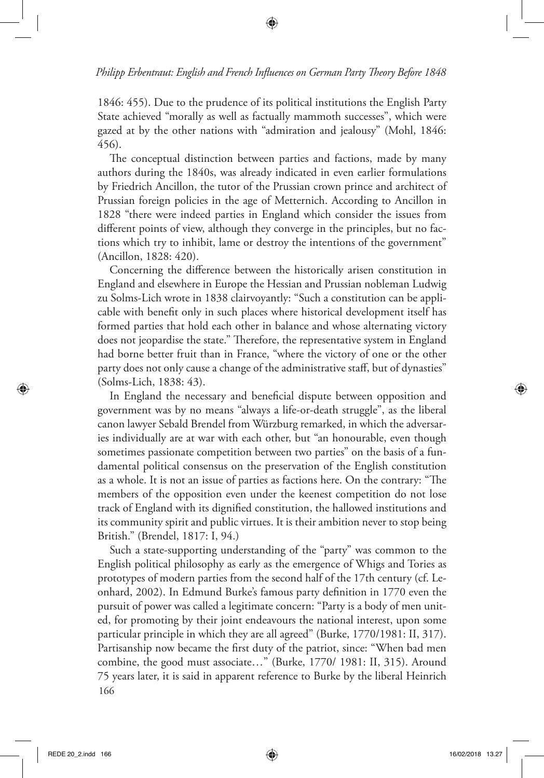1846: 455). Due to the prudence of its political institutions the English Party State achieved "morally as well as factually mammoth successes", which were gazed at by the other nations with "admiration and jealousy" (Mohl, 1846: 456).

The conceptual distinction between parties and factions, made by many authors during the 1840s, was already indicated in even earlier formulations by Friedrich Ancillon, the tutor of the Prussian crown prince and architect of Prussian foreign policies in the age of Metternich. According to Ancillon in 1828 "there were indeed parties in England which consider the issues from different points of view, although they converge in the principles, but no factions which try to inhibit, lame or destroy the intentions of the government" (Ancillon, 1828: 420).

Concerning the difference between the historically arisen constitution in England and elsewhere in Europe the Hessian and Prussian nobleman Ludwig zu Solms-Lich wrote in 1838 clairvoyantly: "Such a constitution can be applicable with benefit only in such places where historical development itself has formed parties that hold each other in balance and whose alternating victory does not jeopardise the state." Therefore, the representative system in England had borne better fruit than in France, "where the victory of one or the other party does not only cause a change of the administrative staff, but of dynasties" (Solms-Lich, 1838: 43).

In England the necessary and beneficial dispute between opposition and government was by no means "always a life-or-death struggle", as the liberal canon lawyer Sebald Brendel from Würzburg remarked, in which the adversaries individually are at war with each other, but "an honourable, even though sometimes passionate competition between two parties" on the basis of a fundamental political consensus on the preservation of the English constitution as a whole. It is not an issue of parties as factions here. On the contrary: "The members of the opposition even under the keenest competition do not lose track of England with its dignified constitution, the hallowed institutions and its community spirit and public virtues. It is their ambition never to stop being British." (Brendel, 1817: I, 94.)

166 Such a state-supporting understanding of the "party" was common to the English political philosophy as early as the emergence of Whigs and Tories as prototypes of modern parties from the second half of the 17th century (cf. Leonhard, 2002). In Edmund Burke's famous party definition in 1770 even the pursuit of power was called a legitimate concern: "Party is a body of men united, for promoting by their joint endeavours the national interest, upon some particular principle in which they are all agreed" (Burke, 1770/1981: II, 317). Partisanship now became the first duty of the patriot, since: "When bad men combine, the good must associate…" (Burke, 1770/ 1981: II, 315). Around 75 years later, it is said in apparent reference to Burke by the liberal Heinrich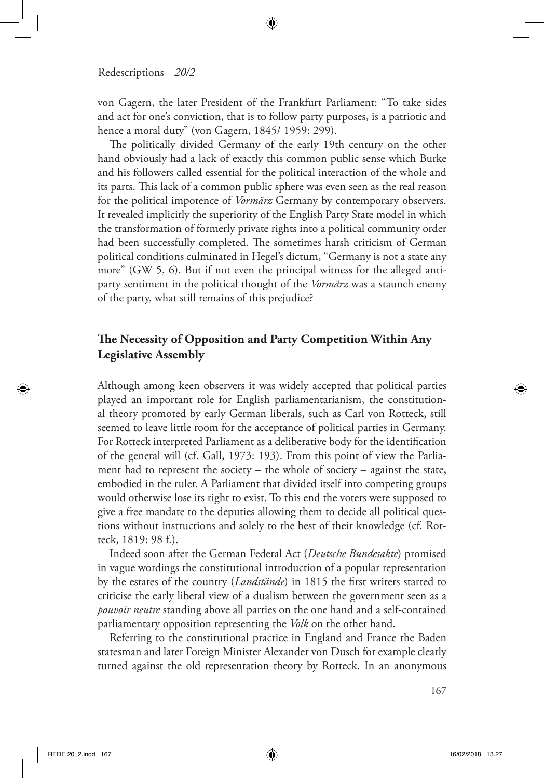von Gagern, the later President of the Frankfurt Parliament: "To take sides and act for one's conviction, that is to follow party purposes, is a patriotic and hence a moral duty" (von Gagern, 1845/ 1959: 299).

The politically divided Germany of the early 19th century on the other hand obviously had a lack of exactly this common public sense which Burke and his followers called essential for the political interaction of the whole and its parts. This lack of a common public sphere was even seen as the real reason for the political impotence of *Vormärz* Germany by contemporary observers. It revealed implicitly the superiority of the English Party State model in which the transformation of formerly private rights into a political community order had been successfully completed. The sometimes harsh criticism of German political conditions culminated in Hegel's dictum, "Germany is not a state any more" (GW 5, 6). But if not even the principal witness for the alleged antiparty sentiment in the political thought of the *Vormärz* was a staunch enemy of the party, what still remains of this prejudice?

## **The Necessity of Opposition and Party Competition Within Any Legislative Assembly**

Although among keen observers it was widely accepted that political parties played an important role for English parliamentarianism, the constitutional theory promoted by early German liberals, such as Carl von Rotteck, still seemed to leave little room for the acceptance of political parties in Germany. For Rotteck interpreted Parliament as a deliberative body for the identification of the general will (cf. Gall, 1973: 193). From this point of view the Parliament had to represent the society – the whole of society – against the state, embodied in the ruler. A Parliament that divided itself into competing groups would otherwise lose its right to exist. To this end the voters were supposed to give a free mandate to the deputies allowing them to decide all political questions without instructions and solely to the best of their knowledge (cf. Rotteck, 1819: 98 f.).

Indeed soon after the German Federal Act (*Deutsche Bundesakte*) promised in vague wordings the constitutional introduction of a popular representation by the estates of the country (*Landstände*) in 1815 the first writers started to criticise the early liberal view of a dualism between the government seen as a *pouvoir neutre* standing above all parties on the one hand and a self-contained parliamentary opposition representing the *Volk* on the other hand.

Referring to the constitutional practice in England and France the Baden statesman and later Foreign Minister Alexander von Dusch for example clearly turned against the old representation theory by Rotteck. In an anonymous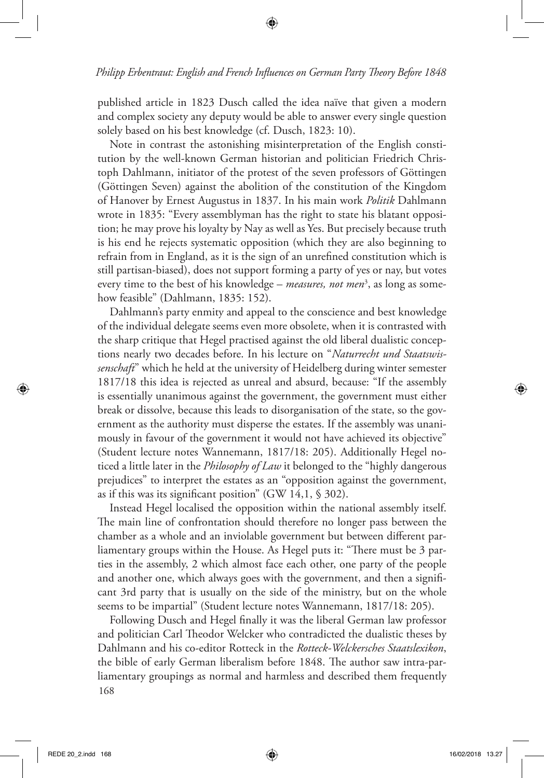published article in 1823 Dusch called the idea naïve that given a modern and complex society any deputy would be able to answer every single question solely based on his best knowledge (cf. Dusch, 1823: 10).

Note in contrast the astonishing misinterpretation of the English constitution by the well-known German historian and politician Friedrich Christoph Dahlmann, initiator of the protest of the seven professors of Göttingen (Göttingen Seven) against the abolition of the constitution of the Kingdom of Hanover by Ernest Augustus in 1837. In his main work *Politik* Dahlmann wrote in 1835: "Every assemblyman has the right to state his blatant opposition; he may prove his loyalty by Nay as well as Yes. But precisely because truth is his end he rejects systematic opposition (which they are also beginning to refrain from in England, as it is the sign of an unrefined constitution which is still partisan-biased), does not support forming a party of yes or nay, but votes every time to the best of his knowledge – *measures, not men*<sup>3</sup> , as long as somehow feasible" (Dahlmann, 1835: 152).

Dahlmann's party enmity and appeal to the conscience and best knowledge of the individual delegate seems even more obsolete, when it is contrasted with the sharp critique that Hegel practised against the old liberal dualistic conceptions nearly two decades before. In his lecture on "*Naturrecht und Staatswissenschaft*" which he held at the university of Heidelberg during winter semester 1817/18 this idea is rejected as unreal and absurd, because: "If the assembly is essentially unanimous against the government, the government must either break or dissolve, because this leads to disorganisation of the state, so the government as the authority must disperse the estates. If the assembly was unanimously in favour of the government it would not have achieved its objective" (Student lecture notes Wannemann, 1817/18: 205). Additionally Hegel noticed a little later in the *Philosophy of Law* it belonged to the "highly dangerous prejudices" to interpret the estates as an "opposition against the government, as if this was its significant position" (GW 14,1, § 302).

Instead Hegel localised the opposition within the national assembly itself. The main line of confrontation should therefore no longer pass between the chamber as a whole and an inviolable government but between different parliamentary groups within the House. As Hegel puts it: "There must be 3 parties in the assembly, 2 which almost face each other, one party of the people and another one, which always goes with the government, and then a significant 3rd party that is usually on the side of the ministry, but on the whole seems to be impartial" (Student lecture notes Wannemann, 1817/18: 205).

168 Following Dusch and Hegel finally it was the liberal German law professor and politician Carl Theodor Welcker who contradicted the dualistic theses by Dahlmann and his co-editor Rotteck in the *Rotteck-Welckersches Staatslexikon*, the bible of early German liberalism before 1848. The author saw intra-parliamentary groupings as normal and harmless and described them frequently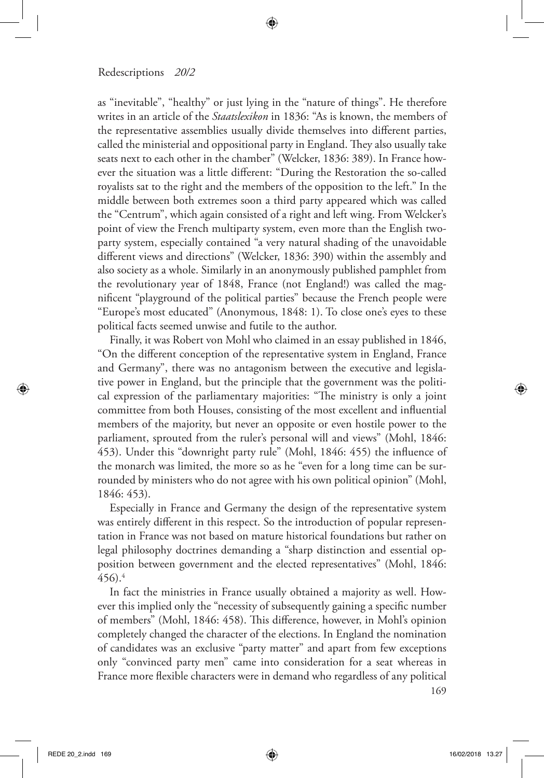as "inevitable", "healthy" or just lying in the "nature of things". He therefore writes in an article of the *Staatslexikon* in 1836: "As is known, the members of the representative assemblies usually divide themselves into different parties, called the ministerial and oppositional party in England. They also usually take seats next to each other in the chamber" (Welcker, 1836: 389). In France however the situation was a little different: "During the Restoration the so-called royalists sat to the right and the members of the opposition to the left." In the middle between both extremes soon a third party appeared which was called the "Centrum", which again consisted of a right and left wing. From Welcker's point of view the French multiparty system, even more than the English twoparty system, especially contained "a very natural shading of the unavoidable different views and directions" (Welcker, 1836: 390) within the assembly and also society as a whole. Similarly in an anonymously published pamphlet from the revolutionary year of 1848, France (not England!) was called the magnificent "playground of the political parties" because the French people were "Europe's most educated" (Anonymous, 1848: 1). To close one's eyes to these political facts seemed unwise and futile to the author.

Finally, it was Robert von Mohl who claimed in an essay published in 1846, "On the different conception of the representative system in England, France and Germany", there was no antagonism between the executive and legislative power in England, but the principle that the government was the political expression of the parliamentary majorities: "The ministry is only a joint committee from both Houses, consisting of the most excellent and influential members of the majority, but never an opposite or even hostile power to the parliament, sprouted from the ruler's personal will and views" (Mohl, 1846: 453). Under this "downright party rule" (Mohl, 1846: 455) the influence of the monarch was limited, the more so as he "even for a long time can be surrounded by ministers who do not agree with his own political opinion" (Mohl, 1846: 453).

Especially in France and Germany the design of the representative system was entirely different in this respect. So the introduction of popular representation in France was not based on mature historical foundations but rather on legal philosophy doctrines demanding a "sharp distinction and essential opposition between government and the elected representatives" (Mohl, 1846:  $456$ ).<sup>4</sup>

In fact the ministries in France usually obtained a majority as well. However this implied only the "necessity of subsequently gaining a specific number of members" (Mohl, 1846: 458). This difference, however, in Mohl's opinion completely changed the character of the elections. In England the nomination of candidates was an exclusive "party matter" and apart from few exceptions only "convinced party men" came into consideration for a seat whereas in France more flexible characters were in demand who regardless of any political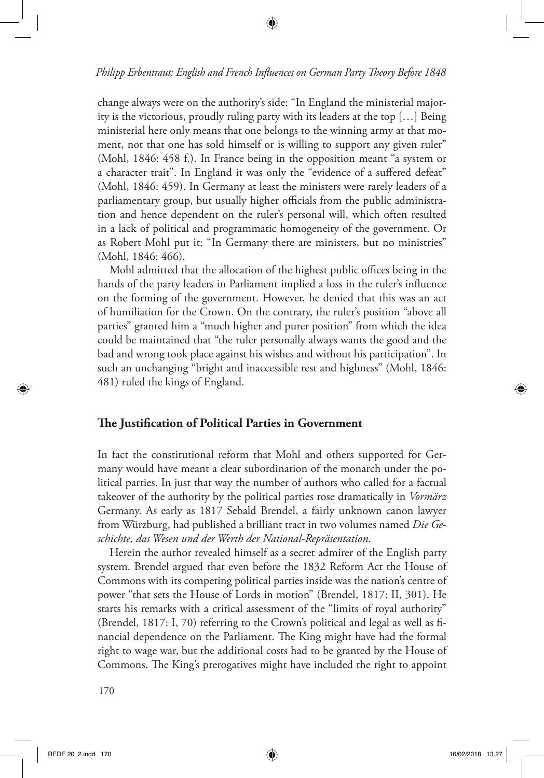change always were on the authority's side: "In England the ministerial majority is the victorious, proudly ruling party with its leaders at the top […] Being ministerial here only means that one belongs to the winning army at that moment, not that one has sold himself or is willing to support any given ruler" (Mohl, 1846: 458 f.). In France being in the opposition meant "a system or a character trait". In England it was only the "evidence of a suffered defeat" (Mohl, 1846: 459). In Germany at least the ministers were rarely leaders of a parliamentary group, but usually higher officials from the public administration and hence dependent on the ruler's personal will, which often resulted in a lack of political and programmatic homogeneity of the government. Or as Robert Mohl put it: "In Germany there are ministers, but no ministries" (Mohl, 1846: 466).

Mohl admitted that the allocation of the highest public offices being in the hands of the party leaders in Parliament implied a loss in the ruler's influence on the forming of the government. However, he denied that this was an act of humiliation for the Crown. On the contrary, the ruler's position "above all parties" granted him a "much higher and purer position" from which the idea could be maintained that "the ruler personally always wants the good and the bad and wrong took place against his wishes and without his participation". In such an unchanging "bright and inaccessible rest and highness" (Mohl, 1846: 481) ruled the kings of England.

#### **The Justification of Political Parties in Government**

In fact the constitutional reform that Mohl and others supported for Germany would have meant a clear subordination of the monarch under the political parties. In just that way the number of authors who called for a factual takeover of the authority by the political parties rose dramatically in *Vormärz*  Germany. As early as 1817 Sebald Brendel, a fairly unknown canon lawyer from Würzburg, had published a brilliant tract in two volumes named *Die Geschichte, das Wesen und der Werth der National-Repräsentation*.

Herein the author revealed himself as a secret admirer of the English party system. Brendel argued that even before the 1832 Reform Act the House of Commons with its competing political parties inside was the nation's centre of power "that sets the House of Lords in motion" (Brendel, 1817: II, 301). He starts his remarks with a critical assessment of the "limits of royal authority" (Brendel, 1817: I, 70) referring to the Crown's political and legal as well as financial dependence on the Parliament. The King might have had the formal right to wage war, but the additional costs had to be granted by the House of Commons. The King's prerogatives might have included the right to appoint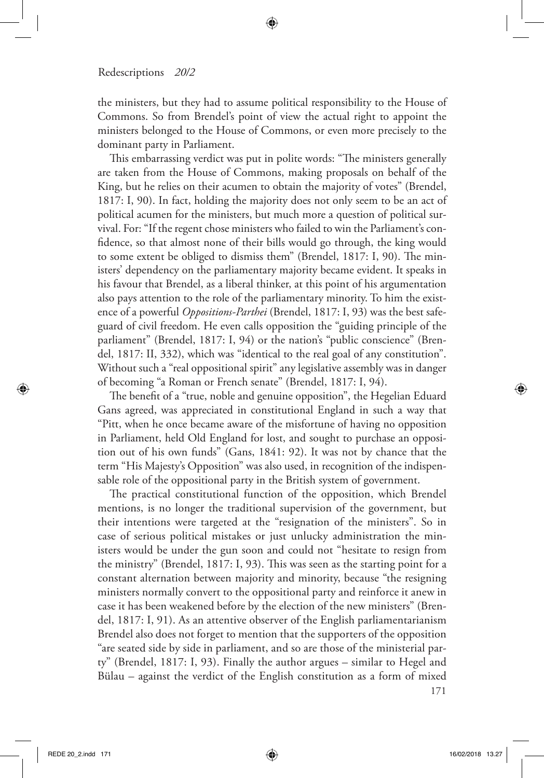the ministers, but they had to assume political responsibility to the House of Commons. So from Brendel's point of view the actual right to appoint the ministers belonged to the House of Commons, or even more precisely to the dominant party in Parliament.

This embarrassing verdict was put in polite words: "The ministers generally are taken from the House of Commons, making proposals on behalf of the King, but he relies on their acumen to obtain the majority of votes" (Brendel, 1817: I, 90). In fact, holding the majority does not only seem to be an act of political acumen for the ministers, but much more a question of political survival. For: "If the regent chose ministers who failed to win the Parliament's confidence, so that almost none of their bills would go through, the king would to some extent be obliged to dismiss them" (Brendel, 1817: I, 90). The ministers' dependency on the parliamentary majority became evident. It speaks in his favour that Brendel, as a liberal thinker, at this point of his argumentation also pays attention to the role of the parliamentary minority. To him the existence of a powerful *Oppositions-Parthei* (Brendel, 1817: I, 93) was the best safeguard of civil freedom. He even calls opposition the "guiding principle of the parliament" (Brendel, 1817: I, 94) or the nation's "public conscience" (Brendel, 1817: II, 332), which was "identical to the real goal of any constitution". Without such a "real oppositional spirit" any legislative assembly was in danger of becoming "a Roman or French senate" (Brendel, 1817: I, 94).

The benefit of a "true, noble and genuine opposition", the Hegelian Eduard Gans agreed, was appreciated in constitutional England in such a way that "Pitt, when he once became aware of the misfortune of having no opposition in Parliament, held Old England for lost, and sought to purchase an opposition out of his own funds" (Gans, 1841: 92). It was not by chance that the term "His Majesty's Opposition" was also used, in recognition of the indispensable role of the oppositional party in the British system of government.

The practical constitutional function of the opposition, which Brendel mentions, is no longer the traditional supervision of the government, but their intentions were targeted at the "resignation of the ministers". So in case of serious political mistakes or just unlucky administration the ministers would be under the gun soon and could not "hesitate to resign from the ministry" (Brendel, 1817: I, 93). This was seen as the starting point for a constant alternation between majority and minority, because "the resigning ministers normally convert to the oppositional party and reinforce it anew in case it has been weakened before by the election of the new ministers" (Brendel, 1817: I, 91). As an attentive observer of the English parliamentarianism Brendel also does not forget to mention that the supporters of the opposition "are seated side by side in parliament, and so are those of the ministerial party" (Brendel, 1817: I, 93). Finally the author argues – similar to Hegel and Bülau – against the verdict of the English constitution as a form of mixed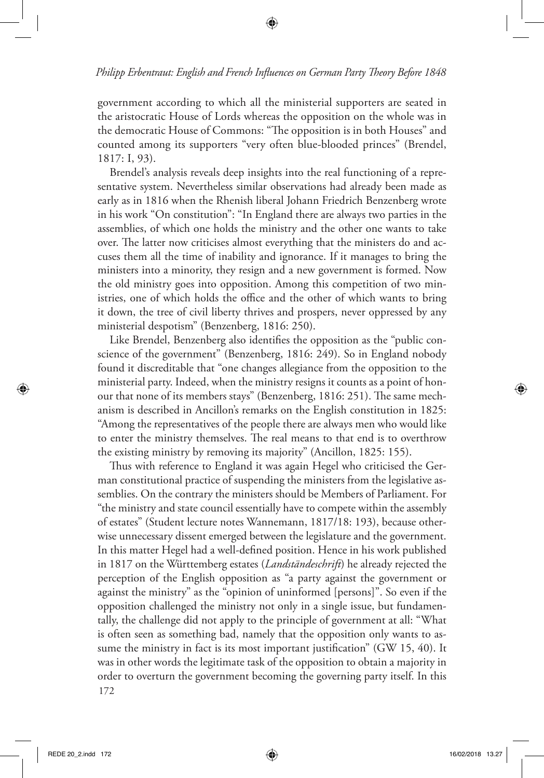government according to which all the ministerial supporters are seated in the aristocratic House of Lords whereas the opposition on the whole was in the democratic House of Commons: "The opposition is in both Houses" and counted among its supporters "very often blue-blooded princes" (Brendel, 1817: I, 93).

Brendel's analysis reveals deep insights into the real functioning of a representative system. Nevertheless similar observations had already been made as early as in 1816 when the Rhenish liberal Johann Friedrich Benzenberg wrote in his work "On constitution": "In England there are always two parties in the assemblies, of which one holds the ministry and the other one wants to take over. The latter now criticises almost everything that the ministers do and accuses them all the time of inability and ignorance. If it manages to bring the ministers into a minority, they resign and a new government is formed. Now the old ministry goes into opposition. Among this competition of two ministries, one of which holds the office and the other of which wants to bring it down, the tree of civil liberty thrives and prospers, never oppressed by any ministerial despotism" (Benzenberg, 1816: 250).

Like Brendel, Benzenberg also identifies the opposition as the "public conscience of the government" (Benzenberg, 1816: 249). So in England nobody found it discreditable that "one changes allegiance from the opposition to the ministerial party. Indeed, when the ministry resigns it counts as a point of honour that none of its members stays" (Benzenberg, 1816: 251). The same mechanism is described in Ancillon's remarks on the English constitution in 1825: "Among the representatives of the people there are always men who would like to enter the ministry themselves. The real means to that end is to overthrow the existing ministry by removing its majority" (Ancillon, 1825: 155).

172 Thus with reference to England it was again Hegel who criticised the German constitutional practice of suspending the ministers from the legislative assemblies. On the contrary the ministers should be Members of Parliament. For "the ministry and state council essentially have to compete within the assembly of estates" (Student lecture notes Wannemann, 1817/18: 193), because otherwise unnecessary dissent emerged between the legislature and the government. In this matter Hegel had a well-defined position. Hence in his work published in 1817 on the Württemberg estates (*Landständeschrift*) he already rejected the perception of the English opposition as "a party against the government or against the ministry" as the "opinion of uninformed [persons]". So even if the opposition challenged the ministry not only in a single issue, but fundamentally, the challenge did not apply to the principle of government at all: "What is often seen as something bad, namely that the opposition only wants to assume the ministry in fact is its most important justification" (GW 15, 40). It was in other words the legitimate task of the opposition to obtain a majority in order to overturn the government becoming the governing party itself. In this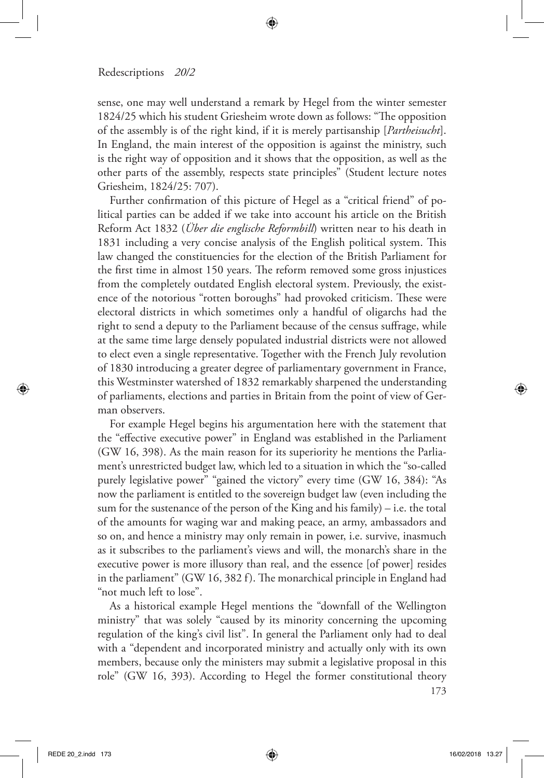sense, one may well understand a remark by Hegel from the winter semester 1824/25 which his student Griesheim wrote down as follows: "The opposition of the assembly is of the right kind, if it is merely partisanship [*Partheisucht*]. In England, the main interest of the opposition is against the ministry, such is the right way of opposition and it shows that the opposition, as well as the other parts of the assembly, respects state principles" (Student lecture notes Griesheim, 1824/25: 707).

Further confirmation of this picture of Hegel as a "critical friend" of political parties can be added if we take into account his article on the British Reform Act 1832 (*Über die englische Reformbill*) written near to his death in 1831 including a very concise analysis of the English political system. This law changed the constituencies for the election of the British Parliament for the first time in almost 150 years. The reform removed some gross injustices from the completely outdated English electoral system. Previously, the existence of the notorious "rotten boroughs" had provoked criticism. These were electoral districts in which sometimes only a handful of oligarchs had the right to send a deputy to the Parliament because of the census suffrage, while at the same time large densely populated industrial districts were not allowed to elect even a single representative. Together with the French July revolution of 1830 introducing a greater degree of parliamentary government in France, this Westminster watershed of 1832 remarkably sharpened the understanding of parliaments, elections and parties in Britain from the point of view of German observers.

For example Hegel begins his argumentation here with the statement that the "effective executive power" in England was established in the Parliament (GW 16, 398). As the main reason for its superiority he mentions the Parliament's unrestricted budget law, which led to a situation in which the "so-called purely legislative power" "gained the victory" every time (GW 16, 384): "As now the parliament is entitled to the sovereign budget law (even including the sum for the sustenance of the person of the King and his family) – i.e. the total of the amounts for waging war and making peace, an army, ambassadors and so on, and hence a ministry may only remain in power, i.e. survive, inasmuch as it subscribes to the parliament's views and will, the monarch's share in the executive power is more illusory than real, and the essence [of power] resides in the parliament" (GW 16, 382 f). The monarchical principle in England had "not much left to lose".

As a historical example Hegel mentions the "downfall of the Wellington ministry" that was solely "caused by its minority concerning the upcoming regulation of the king's civil list". In general the Parliament only had to deal with a "dependent and incorporated ministry and actually only with its own members, because only the ministers may submit a legislative proposal in this role" (GW 16, 393). According to Hegel the former constitutional theory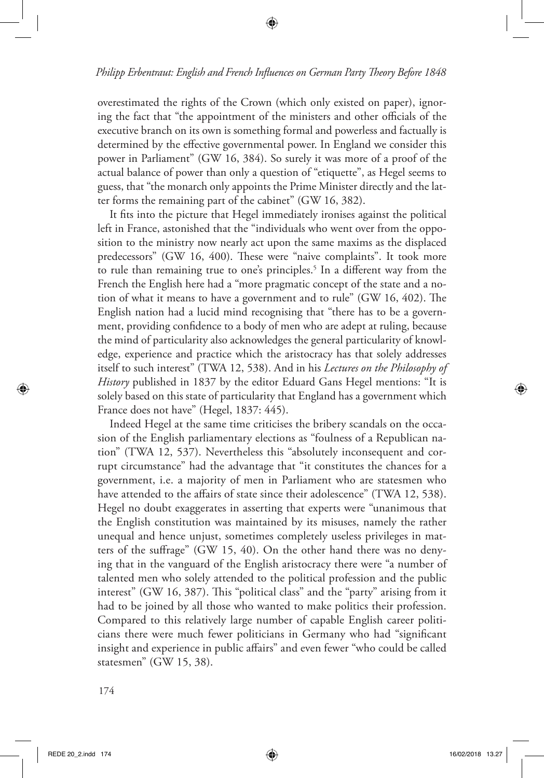overestimated the rights of the Crown (which only existed on paper), ignoring the fact that "the appointment of the ministers and other officials of the executive branch on its own is something formal and powerless and factually is determined by the effective governmental power. In England we consider this power in Parliament" (GW 16, 384). So surely it was more of a proof of the actual balance of power than only a question of "etiquette", as Hegel seems to guess, that "the monarch only appoints the Prime Minister directly and the latter forms the remaining part of the cabinet" (GW 16, 382).

It fits into the picture that Hegel immediately ironises against the political left in France, astonished that the "individuals who went over from the opposition to the ministry now nearly act upon the same maxims as the displaced predecessors" (GW 16, 400). These were "naive complaints". It took more to rule than remaining true to one's principles.<sup>5</sup> In a different way from the French the English here had a "more pragmatic concept of the state and a notion of what it means to have a government and to rule" (GW 16, 402). The English nation had a lucid mind recognising that "there has to be a government, providing confidence to a body of men who are adept at ruling, because the mind of particularity also acknowledges the general particularity of knowledge, experience and practice which the aristocracy has that solely addresses itself to such interest" (TWA 12, 538). And in his *Lectures on the Philosophy of History* published in 1837 by the editor Eduard Gans Hegel mentions: "It is solely based on this state of particularity that England has a government which France does not have" (Hegel, 1837: 445).

Indeed Hegel at the same time criticises the bribery scandals on the occasion of the English parliamentary elections as "foulness of a Republican nation" (TWA 12, 537). Nevertheless this "absolutely inconsequent and corrupt circumstance" had the advantage that "it constitutes the chances for a government, i.e. a majority of men in Parliament who are statesmen who have attended to the affairs of state since their adolescence" (TWA 12, 538). Hegel no doubt exaggerates in asserting that experts were "unanimous that the English constitution was maintained by its misuses, namely the rather unequal and hence unjust, sometimes completely useless privileges in matters of the suffrage" (GW 15, 40). On the other hand there was no denying that in the vanguard of the English aristocracy there were "a number of talented men who solely attended to the political profession and the public interest" (GW 16, 387). This "political class" and the "party" arising from it had to be joined by all those who wanted to make politics their profession. Compared to this relatively large number of capable English career politicians there were much fewer politicians in Germany who had "significant insight and experience in public affairs" and even fewer "who could be called statesmen" (GW 15, 38).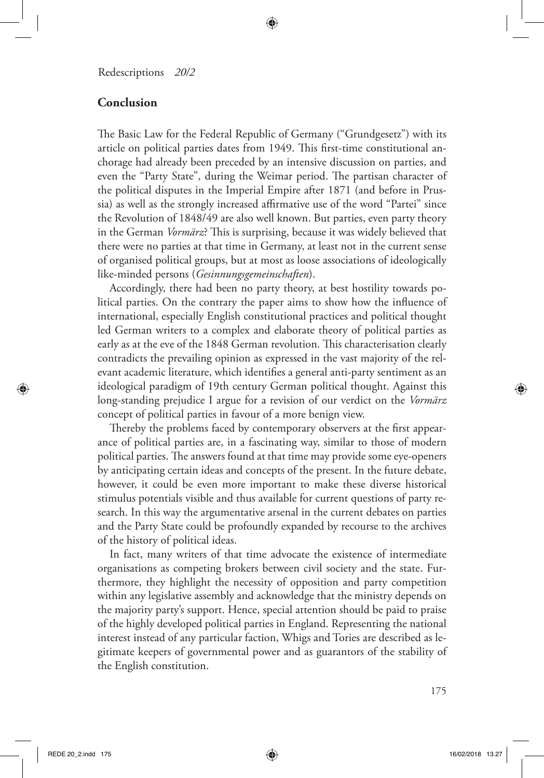#### **Conclusion**

The Basic Law for the Federal Republic of Germany ("Grundgesetz") with its article on political parties dates from 1949. This first-time constitutional anchorage had already been preceded by an intensive discussion on parties, and even the "Party State", during the Weimar period. The partisan character of the political disputes in the Imperial Empire after 1871 (and before in Prussia) as well as the strongly increased affirmative use of the word "Partei" since the Revolution of 1848/49 are also well known. But parties, even party theory in the German *Vormärz*? This is surprising, because it was widely believed that there were no parties at that time in Germany, at least not in the current sense of organised political groups, but at most as loose associations of ideologically like-minded persons (*Gesinnungsgemeinschaften*).

Accordingly, there had been no party theory, at best hostility towards political parties. On the contrary the paper aims to show how the influence of international, especially English constitutional practices and political thought led German writers to a complex and elaborate theory of political parties as early as at the eve of the 1848 German revolution. This characterisation clearly contradicts the prevailing opinion as expressed in the vast majority of the relevant academic literature, which identifies a general anti-party sentiment as an ideological paradigm of 19th century German political thought. Against this long-standing prejudice I argue for a revision of our verdict on the *Vormärz* concept of political parties in favour of a more benign view.

Thereby the problems faced by contemporary observers at the first appearance of political parties are, in a fascinating way, similar to those of modern political parties. The answers found at that time may provide some eye-openers by anticipating certain ideas and concepts of the present. In the future debate, however, it could be even more important to make these diverse historical stimulus potentials visible and thus available for current questions of party research. In this way the argumentative arsenal in the current debates on parties and the Party State could be profoundly expanded by recourse to the archives of the history of political ideas.

In fact, many writers of that time advocate the existence of intermediate organisations as competing brokers between civil society and the state. Furthermore, they highlight the necessity of opposition and party competition within any legislative assembly and acknowledge that the ministry depends on the majority party's support. Hence, special attention should be paid to praise of the highly developed political parties in England. Representing the national interest instead of any particular faction, Whigs and Tories are described as legitimate keepers of governmental power and as guarantors of the stability of the English constitution.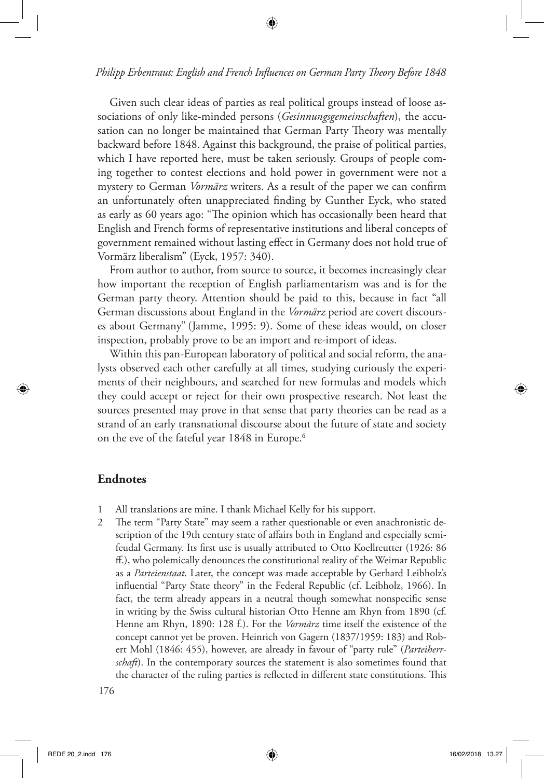Given such clear ideas of parties as real political groups instead of loose associations of only like-minded persons (*Gesinnungsgemeinschaften*), the accusation can no longer be maintained that German Party Theory was mentally backward before 1848. Against this background, the praise of political parties, which I have reported here, must be taken seriously. Groups of people coming together to contest elections and hold power in government were not a mystery to German *Vormärz* writers. As a result of the paper we can confirm an unfortunately often unappreciated finding by Gunther Eyck, who stated as early as 60 years ago: "The opinion which has occasionally been heard that English and French forms of representative institutions and liberal concepts of government remained without lasting effect in Germany does not hold true of Vormärz liberalism" (Eyck, 1957: 340).

From author to author, from source to source, it becomes increasingly clear how important the reception of English parliamentarism was and is for the German party theory. Attention should be paid to this, because in fact "all German discussions about England in the *Vormärz* period are covert discourses about Germany" (Jamme, 1995: 9). Some of these ideas would, on closer inspection, probably prove to be an import and re-import of ideas.

Within this pan-European laboratory of political and social reform, the analysts observed each other carefully at all times, studying curiously the experiments of their neighbours, and searched for new formulas and models which they could accept or reject for their own prospective research. Not least the sources presented may prove in that sense that party theories can be read as a strand of an early transnational discourse about the future of state and society on the eve of the fateful year 1848 in Europe.<sup>6</sup>

#### **Endnotes**

- 1 All translations are mine. I thank Michael Kelly for his support.
- 2 The term "Party State" may seem a rather questionable or even anachronistic description of the 19th century state of affairs both in England and especially semifeudal Germany. Its first use is usually attributed to Otto Koellreutter (1926: 86 ff.), who polemically denounces the constitutional reality of the Weimar Republic as a *Parteienstaat*. Later, the concept was made acceptable by Gerhard Leibholz's influential "Party State theory" in the Federal Republic (cf. Leibholz, 1966). In fact, the term already appears in a neutral though somewhat nonspecific sense in writing by the Swiss cultural historian Otto Henne am Rhyn from 1890 (cf. Henne am Rhyn, 1890: 128 f.). For the *Vormärz* time itself the existence of the concept cannot yet be proven. Heinrich von Gagern (1837/1959: 183) and Robert Mohl (1846: 455), however, are already in favour of "party rule" (*Parteiherrschaft*). In the contemporary sources the statement is also sometimes found that the character of the ruling parties is reflected in different state constitutions. This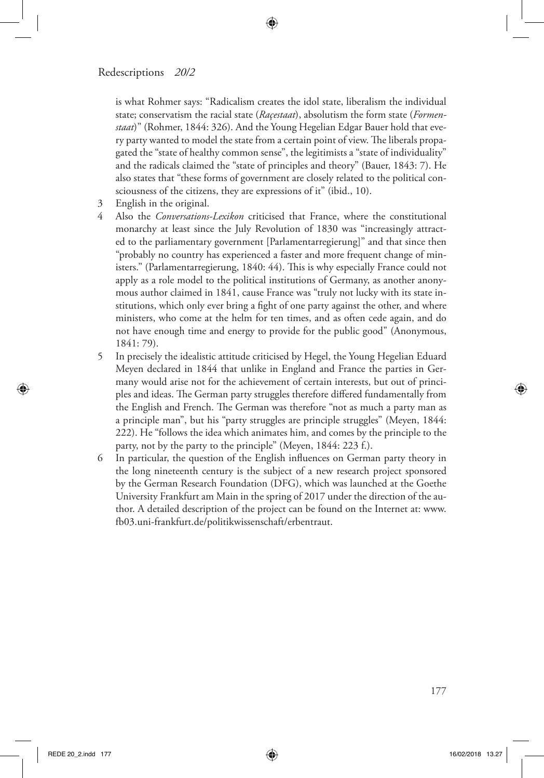is what Rohmer says: "Radicalism creates the idol state, liberalism the individual state; conservatism the racial state (*Raçestaat*), absolutism the form state (*Formenstaat*)" (Rohmer, 1844: 326). And the Young Hegelian Edgar Bauer hold that every party wanted to model the state from a certain point of view. The liberals propagated the "state of healthy common sense", the legitimists a "state of individuality" and the radicals claimed the "state of principles and theory" (Bauer, 1843: 7). He also states that "these forms of government are closely related to the political consciousness of the citizens, they are expressions of it" (ibid., 10).

- 3 English in the original.
- 4 Also the *Conversations-Lexikon* criticised that France, where the constitutional monarchy at least since the July Revolution of 1830 was "increasingly attracted to the parliamentary government [Parlamentarregierung]" and that since then "probably no country has experienced a faster and more frequent change of ministers." (Parlamentarregierung, 1840: 44). This is why especially France could not apply as a role model to the political institutions of Germany, as another anonymous author claimed in 1841, cause France was "truly not lucky with its state institutions, which only ever bring a fight of one party against the other, and where ministers, who come at the helm for ten times, and as often cede again, and do not have enough time and energy to provide for the public good" (Anonymous, 1841: 79).
- 5 In precisely the idealistic attitude criticised by Hegel, the Young Hegelian Eduard Meyen declared in 1844 that unlike in England and France the parties in Germany would arise not for the achievement of certain interests, but out of principles and ideas. The German party struggles therefore differed fundamentally from the English and French. The German was therefore "not as much a party man as a principle man", but his "party struggles are principle struggles" (Meyen, 1844: 222). He "follows the idea which animates him, and comes by the principle to the party, not by the party to the principle" (Meyen, 1844: 223 f.).
- 6 In particular, the question of the English influences on German party theory in the long nineteenth century is the subject of a new research project sponsored by the German Research Foundation (DFG), which was launched at the Goethe University Frankfurt am Main in the spring of 2017 under the direction of the author. A detailed description of the project can be found on the Internet at: www. fb03.uni-frankfurt.de/politikwissenschaft/erbentraut.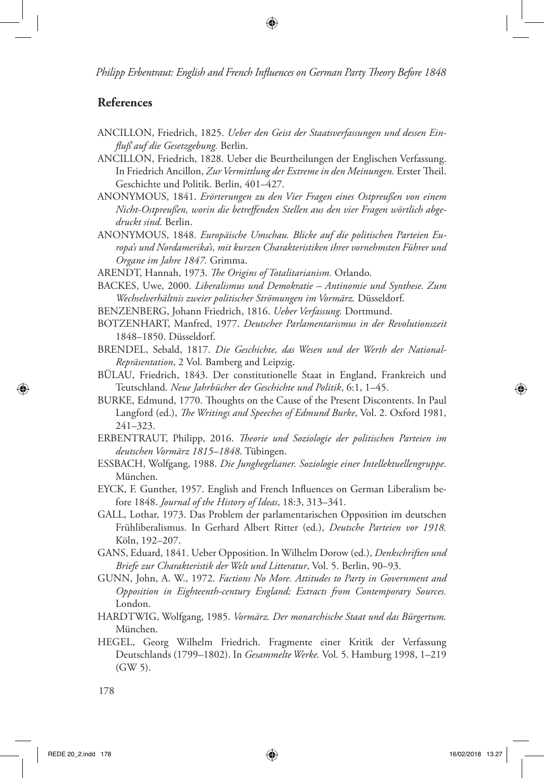### **References**

- ANCILLON, Friedrich, 1825. *Ueber den Geist der Staatsverfassungen und dessen Einfluß auf die Gesetzgebung.* Berlin.
- ANCILLON, Friedrich, 1828. Ueber die Beurtheilungen der Englischen Verfassung. In Friedrich Ancillon, *Zur Vermittlung der Extreme in den Meinungen.* Erster Theil. Geschichte und Politik. Berlin, 401–427.
- ANONYMOUS, 1841. *Erörterungen zu den Vier Fragen eines Ostpreußen von einem Nicht-Ostpreußen, worin die betreffenden Stellen aus den vier Fragen wörtlich abgedruckt sind.* Berlin.
- ANONYMOUS, 1848. *Europäische Umschau. Blicke auf die politischen Parteien Europa's und Nordamerika's, mit kurzen Charakteristiken ihrer vornehmsten Führer und Organe im Jahre 1847.* Grimma.
- ARENDT, Hannah, 1973. *The Origins of Totalitarianism.* Orlando.
- BACKES, Uwe, 2000. *Liberalismus und Demokratie Antinomie und Synthese. Zum Wechselverhältnis zweier politischer Strömungen im Vormärz.* Düsseldorf.
- BENZENBERG, Johann Friedrich, 1816. *Ueber Verfassung.* Dortmund.
- BOTZENHART, Manfred, 1977. *Deutscher Parlamentarismus in der Revolutionszeit* 1848–1850. Düsseldorf.
- BRENDEL, Sebald, 1817. *Die Geschichte, das Wesen und der Werth der National-Repräsentation*, 2 Vol. Bamberg and Leipzig.
- BÜLAU, Friedrich, 1843. Der constitutionelle Staat in England, Frankreich und Teutschland. *Neue Jahrbücher der Geschichte und Politik*, 6:1, 1–45.
- BURKE, Edmund, 1770. Thoughts on the Cause of the Present Discontents. In Paul Langford (ed.), *The Writings and Speeches of Edmund Burke*, Vol. 2. Oxford 1981, 241–323.
- ERBENTRAUT, Philipp, 2016. *Theorie und Soziologie der politischen Parteien im deutschen Vormärz 1815–1848*. Tübingen.
- ESSBACH, Wolfgang, 1988. *Die Junghegelianer. Soziologie einer Intellektuellengruppe.* München.
- EYCK, F. Gunther, 1957. English and French Influences on German Liberalism before 1848. *Journal of the History of Ideas*, 18:3, 313–341.
- GALL, Lothar, 1973. Das Problem der parlamentarischen Opposition im deutschen Frühliberalismus. In Gerhard Albert Ritter (ed.), *Deutsche Parteien vor 1918.*  Köln, 192–207.
- GANS, Eduard, 1841. Ueber Opposition. In Wilhelm Dorow (ed.), *Denkschriften und Briefe zur Charakteristik der Welt und Litteratur*, Vol. 5. Berlin, 90–93.
- GUNN, John, A. W., 1972. *Factions No More. Attitudes to Party in Government and Opposition in Eighteenth-century England; Extracts from Contemporary Sources.*  London.
- HARDTWIG, Wolfgang, 1985. *Vormärz. Der monarchische Staat und das Bürgertum.*  München.
- HEGEL, Georg Wilhelm Friedrich. Fragmente einer Kritik der Verfassung Deutschlands (1799–1802). In *Gesammelte Werke.* Vol. 5. Hamburg 1998, 1–219 (GW 5).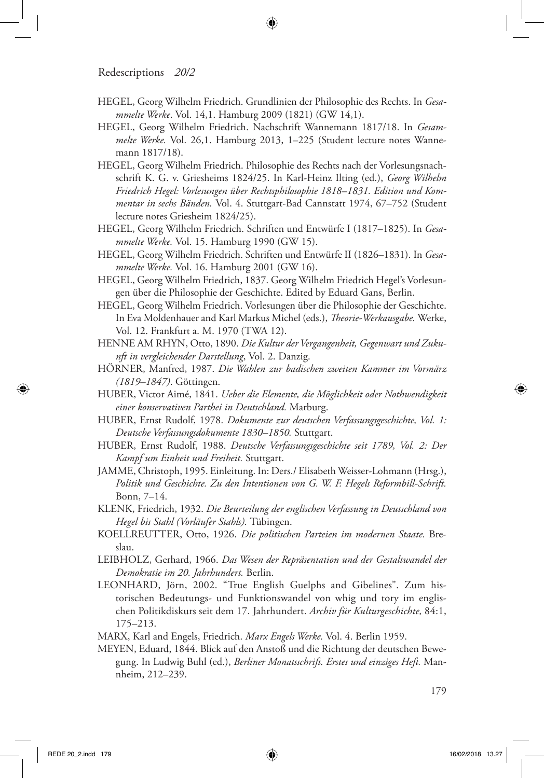- HEGEL, Georg Wilhelm Friedrich. Grundlinien der Philosophie des Rechts. In *Gesammelte Werke*. Vol. 14,1. Hamburg 2009 (1821) (GW 14,1).
- HEGEL, Georg Wilhelm Friedrich. Nachschrift Wannemann 1817/18. In *Gesammelte Werke.* Vol. 26,1. Hamburg 2013, 1–225 (Student lecture notes Wannemann 1817/18).
- HEGEL, Georg Wilhelm Friedrich. Philosophie des Rechts nach der Vorlesungsnachschrift K. G. v. Griesheims 1824/25. In Karl-Heinz Ilting (ed.), *Georg Wilhelm Friedrich Hegel: Vorlesungen über Rechtsphilosophie 1818–1831. Edition und Kommentar in sechs Bänden.* Vol. 4. Stuttgart-Bad Cannstatt 1974, 67–752 (Student lecture notes Griesheim 1824/25).
- HEGEL, Georg Wilhelm Friedrich. Schriften und Entwürfe I (1817–1825). In *Gesammelte Werke.* Vol. 15. Hamburg 1990 (GW 15).
- HEGEL, Georg Wilhelm Friedrich. Schriften und Entwürfe II (1826–1831). In *Gesammelte Werke.* Vol. 16. Hamburg 2001 (GW 16).
- HEGEL, Georg Wilhelm Friedrich, 1837. Georg Wilhelm Friedrich Hegel's Vorlesungen über die Philosophie der Geschichte. Edited by Eduard Gans, Berlin.
- HEGEL, Georg Wilhelm Friedrich. Vorlesungen über die Philosophie der Geschichte. In Eva Moldenhauer and Karl Markus Michel (eds.), *Theorie-Werkausgabe.* Werke, Vol. 12. Frankfurt a. M. 1970 (TWA 12).
- HENNE AM RHYN, Otto, 1890. *Die Kultur der Vergangenheit, Gegenwart und Zukunft in vergleichender Darstellung*, Vol. 2. Danzig.
- HÖRNER, Manfred, 1987. *Die Wahlen zur badischen zweiten Kammer im Vormärz (1819–1847)*. Göttingen.
- HUBER, Victor Aimé, 1841. *Ueber die Elemente, die Möglichkeit oder Nothwendigkeit einer konservativen Parthei in Deutschland.* Marburg.
- HUBER, Ernst Rudolf, 1978. *Dokumente zur deutschen Verfassungsgeschichte, Vol. 1: Deutsche Verfassungsdokumente 1830–1850.* Stuttgart.
- HUBER, Ernst Rudolf, 1988. *Deutsche Verfassungsgeschichte seit 1789, Vol. 2: Der Kampf um Einheit und Freiheit.* Stuttgart.
- JAMME, Christoph, 1995. Einleitung. In: Ders./ Elisabeth Weisser-Lohmann (Hrsg.), *Politik und Geschichte. Zu den Intentionen von G. W. F. Hegels Reformbill-Schrift.* Bonn, 7–14.
- KLENK, Friedrich, 1932. *Die Beurteilung der englischen Verfassung in Deutschland von Hegel bis Stahl (Vorläufer Stahls).* Tübingen.
- KOELLREUTTER, Otto, 1926. *Die politischen Parteien im modernen Staate.* Breslau.
- LEIBHOLZ, Gerhard, 1966. *Das Wesen der Repräsentation und der Gestaltwandel der Demokratie im 20. Jahrhundert.* Berlin.
- LEONHARD, Jörn, 2002. "True English Guelphs and Gibelines". Zum historischen Bedeutungs- und Funktionswandel von whig und tory im englischen Politikdiskurs seit dem 17. Jahrhundert. *Archiv für Kulturgeschichte,* 84:1, 175–213.
- MARX, Karl and Engels, Friedrich. *Marx Engels Werke.* Vol. 4. Berlin 1959.
- MEYEN, Eduard, 1844. Blick auf den Anstoß und die Richtung der deutschen Bewegung. In Ludwig Buhl (ed.), *Berliner Monatsschrift. Erstes und einziges Heft.* Mannheim, 212–239.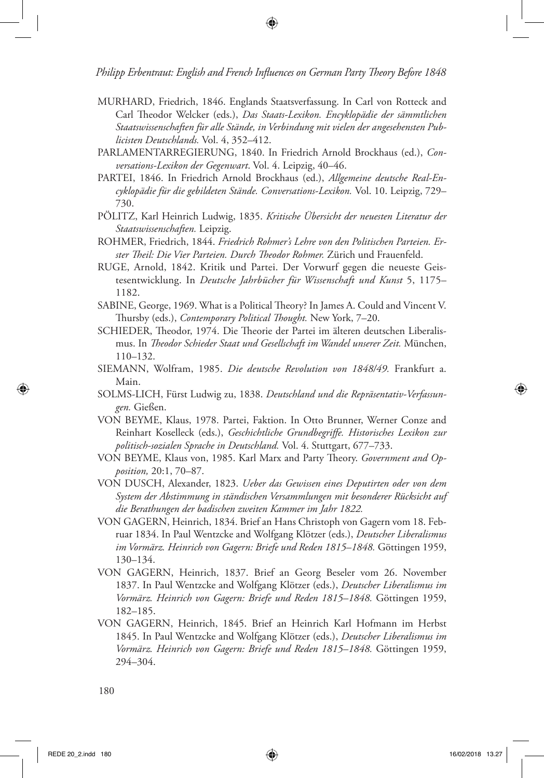- MURHARD, Friedrich, 1846. Englands Staatsverfassung. In Carl von Rotteck and Carl Theodor Welcker (eds.), *Das Staats-Lexikon. Encyklopädie der sämmtlichen Staatswissenschaften für alle Stände, in Verbindung mit vielen der angesehensten Publicisten Deutschlands.* Vol. 4, 352–412.
- PARLAMENTARREGIERUNG, 1840. In Friedrich Arnold Brockhaus (ed.), *Conversations-Lexikon der Gegenwart*. Vol. 4. Leipzig, 40–46.
- PARTEI, 1846. In Friedrich Arnold Brockhaus (ed.), *Allgemeine deutsche Real-Encyklopädie für die gebildeten Stände. Conversations-Lexikon.* Vol. 10. Leipzig, 729– 730.
- PÖLITZ, Karl Heinrich Ludwig, 1835. *Kritische Übersicht der neuesten Literatur der Staatswissenschaften.* Leipzig.
- ROHMER, Friedrich, 1844. *Friedrich Rohmer's Lehre von den Politischen Parteien. Erster Theil: Die Vier Parteien. Durch Theodor Rohmer.* Zürich und Frauenfeld.
- RUGE, Arnold, 1842. Kritik und Partei. Der Vorwurf gegen die neueste Geistesentwicklung. In *Deutsche Jahrbücher für Wissenschaft und Kunst* 5, 1175– 1182.
- SABINE, George, 1969. What is a Political Theory? In James A. Could and Vincent V. Thursby (eds.), *Contemporary Political Thought.* New York, 7–20.
- SCHIEDER, Theodor, 1974. Die Theorie der Partei im älteren deutschen Liberalismus. In *Theodor Schieder Staat und Gesellschaft im Wandel unserer Zeit.* München, 110–132.
- SIEMANN, Wolfram, 1985. *Die deutsche Revolution von 1848/49.* Frankfurt a. Main.
- SOLMS-LICH, Fürst Ludwig zu, 1838. *Deutschland und die Repräsentativ-Verfassungen.* Gießen.
- VON BEYME, Klaus, 1978. Partei, Faktion. In Otto Brunner, Werner Conze and Reinhart Koselleck (eds.), *Geschichtliche Grundbegriffe. Historisches Lexikon zur politisch-sozialen Sprache in Deutschland.* Vol. 4. Stuttgart, 677–733.
- VON BEYME, Klaus von, 1985. Karl Marx and Party Theory. *Government and Opposition,* 20:1, 70–87.
- VON DUSCH, Alexander, 1823. *Ueber das Gewissen eines Deputirten oder von dem System der Abstimmung in ständischen Versammlungen mit besonderer Rücksicht auf die Berathungen der badischen zweiten Kammer im Jahr 1822.*
- VON GAGERN, Heinrich, 1834. Brief an Hans Christoph von Gagern vom 18. Februar 1834. In Paul Wentzcke and Wolfgang Klötzer (eds.), *Deutscher Liberalismus im Vormärz. Heinrich von Gagern: Briefe und Reden 1815–1848.* Göttingen 1959, 130–134.
- VON GAGERN, Heinrich, 1837. Brief an Georg Beseler vom 26. November 1837. In Paul Wentzcke and Wolfgang Klötzer (eds.), *Deutscher Liberalismus im Vormärz. Heinrich von Gagern: Briefe und Reden 1815–1848.* Göttingen 1959, 182–185.
- VON GAGERN, Heinrich, 1845. Brief an Heinrich Karl Hofmann im Herbst 1845. In Paul Wentzcke and Wolfgang Klötzer (eds.), *Deutscher Liberalismus im Vormärz. Heinrich von Gagern: Briefe und Reden 1815–1848.* Göttingen 1959, 294–304.